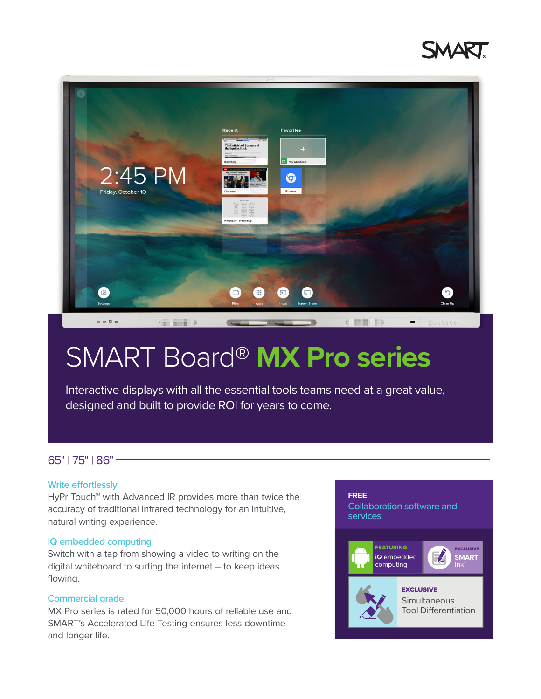



# SMART Board® **MX Pro series**

Interactive displays with all the essential tools teams need at a great value, designed and built to provide ROI for years to come.

## 65" | 75" | 86"

#### **Write effortlessly**

HyPr Touch<sup>™</sup> with Advanced IR provides more than twice the accuracy of traditional infrared technology for an intuitive, natural writing experience.

#### **iQ embedded computing**

Switch with a tap from showing a video to writing on the digital whiteboard to surfing the internet – to keep ideas flowing.

#### **Commercial grade**

MX Pro series is rated for 50,000 hours of reliable use and SMART's Accelerated Life Testing ensures less downtime and longer life.

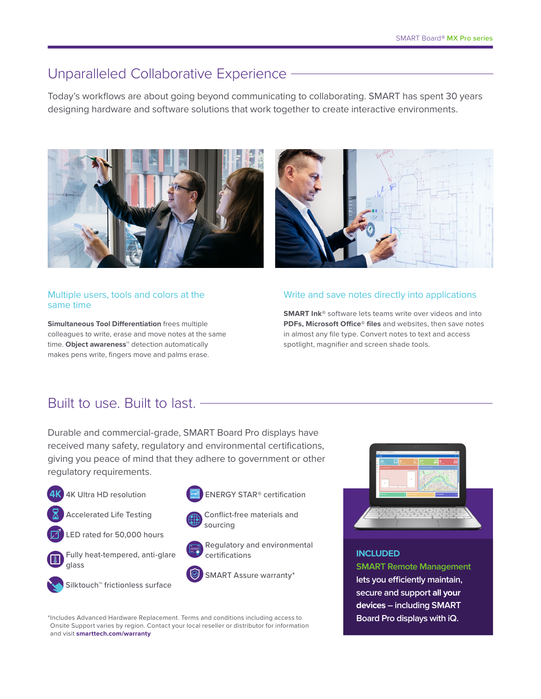## Unparalleled Collaborative Experience -

Today's workflows are about going beyond communicating to collaborating. SMART has spent 30 years designing hardware and software solutions that work together to create interactive environments.





#### Multiple users, tools and colors at the same time

**Simultaneous Tool Differentiation** frees multiple colleagues to write, erase and move notes at the same time. **Object awareness**™ detection automatically makes pens write, fingers move and palms erase.

#### Write and save notes directly into applications

**SMART Ink®** software lets teams write over videos and into **PDFs, Microsoft Office® files** and websites, then save notes in almost any file type. Convert notes to text and access spotlight, magnifier and screen shade tools.

## Built to use. Built to last.

Durable and commercial-grade, SMART Board Pro displays have received many safety, regulatory and environmental certifications, giving you peace of mind that they adhere to government or other regulatory requirements.



\*Includes Advanced Hardware Replacement. Terms and conditions including access to Onsite Support varies by region. Contact your local reseller or distributor for information and visit **[smarttech.com/warranty](https://support.smarttech.com/en/forms/warranty-form)**



### **INCLUDED**

**SMART Remote Management lets you efficiently maintain, secure and support all your devices – including SMART Board Pro displays with iQ.**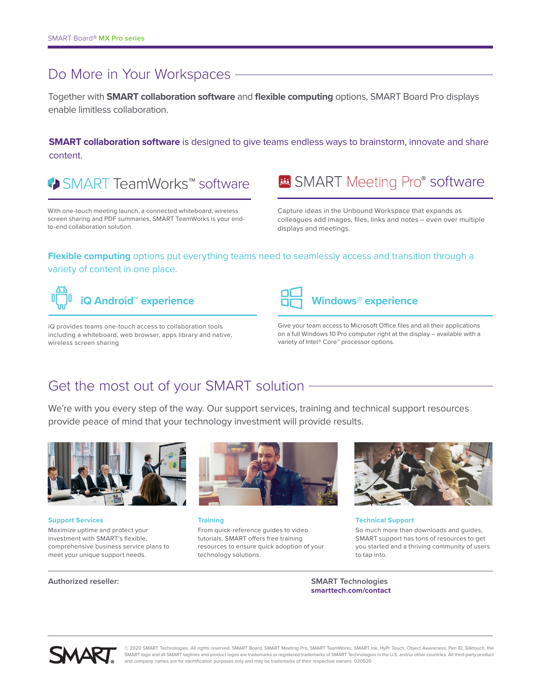# Do More in Your Workspaces -

Together with **SMART collaboration software** and **flexible computing** options, SMART Board Pro displays enable limitless collaboration.

**SMART collaboration software** is designed to give teams endless ways to brainstorm, innovate and share content.

◆ SMART TeamWorks™ software

With one-touch meeting launch, a connected whiteboard, wireless screen sharing and PDF summaries, SMART TeamWorks is your endto-end collaboration solution.

**B** SMART Meeting Pro® software

Capture ideas in the Unbound Workspace that expands as colleagues add images, files, links and notes – even over multiple displays and meetings.

## **Flexible computing** options put everything teams need to seamlessly access and transition through a variety of content in one place.



iQ provides teams one-touch access to collaboration tools including a whiteboard, web browser, apps library and native, wireless screen sharing



Give your team access to Microsoft Office files and all their applications on a full Windows 10 Pro computer right at the display – available with a variety of Intel® Core™ processor options.

# Get the most out of your SMART solution

We're with you every step of the way. Our support services, training and technical support resources provide peace of mind that your technology investment will provide results.



**Support Services**

Maximize uptime and protect your investment with SMART's flexible, comprehensive business service plans to meet your unique support needs.



**Training**

From quick-reference guides to video tutorials, SMART offers free training resources to ensure quick adoption of your technology solutions.



**Technical Support**

So much more than downloads and guides, SMART support has tons of resources to get you started and a thriving community of users to tap into.

**Authorized reseller: SMART Technologies [smarttech.com/contact](http://smarttech.com/contact)**



© 2020 SMART Technologies. All rights reserved. SMART Board, SMART Meeting Pro, SMART TeamWorks, SMART Ink, HyPr Touch, Object Awareness, Pen ID, Silktouch, the SMART logo and all SMART taglines and product logos are trademarks or registered trademarks of SMART Technologies in the U.S. and/or other countries. All third-party product and company names are for identification purposes only and may be trademarks of their respective owners. 020520